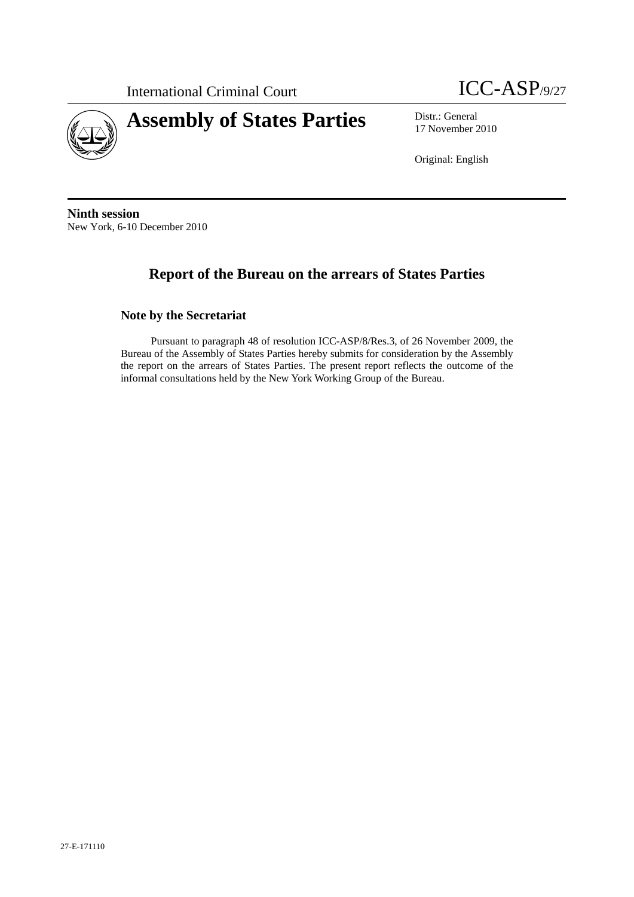International Criminal Court **ICC-ASP**/9/27





17 November 2010

Original: English

**Ninth session**  New York, 6-10 December 2010

# **Report of the Bureau on the arrears of States Parties**

**Note by the Secretariat** 

Pursuant to paragraph 48 of resolution ICC-ASP/8/Res.3, of 26 November 2009, the Bureau of the Assembly of States Parties hereby submits for consideration by the Assembly the report on the arrears of States Parties. The present report reflects the outcome of the informal consultations held by the New York Working Group of the Bureau.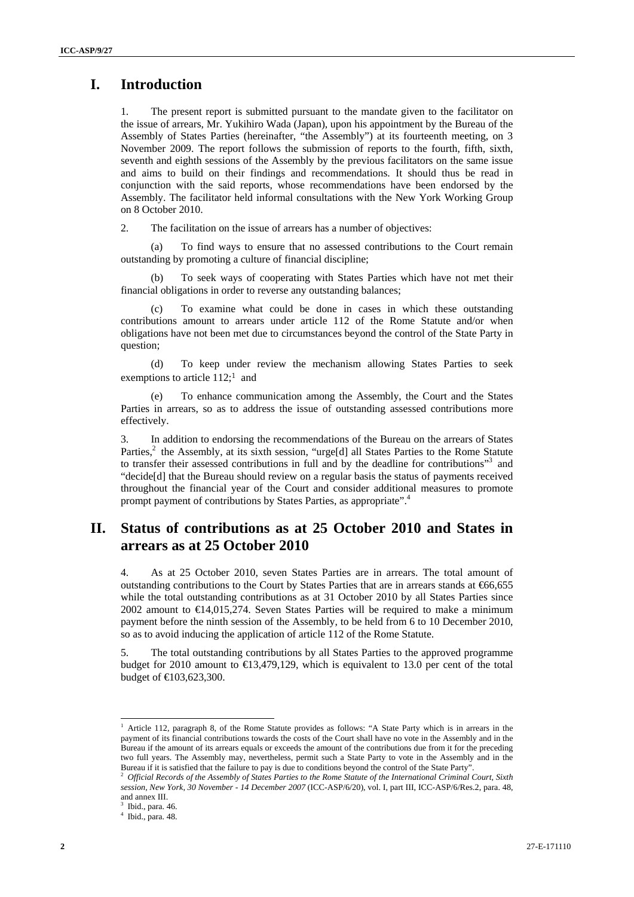### **I. Introduction**

1. The present report is submitted pursuant to the mandate given to the facilitator on the issue of arrears, Mr. Yukihiro Wada (Japan), upon his appointment by the Bureau of the Assembly of States Parties (hereinafter, "the Assembly") at its fourteenth meeting, on 3 November 2009. The report follows the submission of reports to the fourth, fifth, sixth, seventh and eighth sessions of the Assembly by the previous facilitators on the same issue and aims to build on their findings and recommendations. It should thus be read in conjunction with the said reports, whose recommendations have been endorsed by the Assembly. The facilitator held informal consultations with the New York Working Group on 8 October 2010.

2. The facilitation on the issue of arrears has a number of objectives:

(a) To find ways to ensure that no assessed contributions to the Court remain outstanding by promoting a culture of financial discipline;

(b) To seek ways of cooperating with States Parties which have not met their financial obligations in order to reverse any outstanding balances;

(c) To examine what could be done in cases in which these outstanding contributions amount to arrears under article 112 of the Rome Statute and/or when obligations have not been met due to circumstances beyond the control of the State Party in question;

(d) To keep under review the mechanism allowing States Parties to seek exemptions to article 112;<sup>1</sup> and

(e) To enhance communication among the Assembly, the Court and the States Parties in arrears, so as to address the issue of outstanding assessed contributions more effectively.

3. In addition to endorsing the recommendations of the Bureau on the arrears of States Parties,<sup>2</sup> the Assembly, at its sixth session, "urge[d] all States Parties to the Rome Statute to transfer their assessed contributions in full and by the deadline for contributions"<sup>3</sup> and "decide[d] that the Bureau should review on a regular basis the status of payments received throughout the financial year of the Court and consider additional measures to promote prompt payment of contributions by States Parties, as appropriate".<sup>4</sup>

## **II. Status of contributions as at 25 October 2010 and States in arrears as at 25 October 2010**

4. As at 25 October 2010, seven States Parties are in arrears. The total amount of outstanding contributions to the Court by States Parties that are in arrears stands at €66,655 while the total outstanding contributions as at 31 October 2010 by all States Parties since 2002 amount to  $\bigoplus$  4,015,274. Seven States Parties will be required to make a minimum payment before the ninth session of the Assembly, to be held from 6 to 10 December 2010, so as to avoid inducing the application of article 112 of the Rome Statute.

5. The total outstanding contributions by all States Parties to the approved programme budget for 2010 amount to  $\text{ } \in \{3,479,129,4129,429,449\}$  which is equivalent to 13.0 per cent of the total budget of €103,623,300.

 $\overline{a}$ 

<sup>&</sup>lt;sup>1</sup> Article 112, paragraph 8, of the Rome Statute provides as follows: "A State Party which is in arrears in the payment of its financial contributions towards the costs of the Court shall have no vote in the Assembly and in the Bureau if the amount of its arrears equals or exceeds the amount of the contributions due from it for the preceding two full years. The Assembly may, nevertheless, permit such a State Party to vote in the Assembly and in the Bureau if it is satisfied that the failure to pay is due to conditions beyond the control of the State Party".<br><sup>2</sup> Official Records of the Assembly of States Parties to the Rome Statute of the International Criminal Court,

*session, New York, 30 November - 14 December 2007* (ICC-ASP/6/20), vol. I, part III, ICC-ASP/6/Res.2, para. 48, and annex III.

<sup>3</sup> Ibid., para. 46.

<sup>4</sup> Ibid., para. 48.